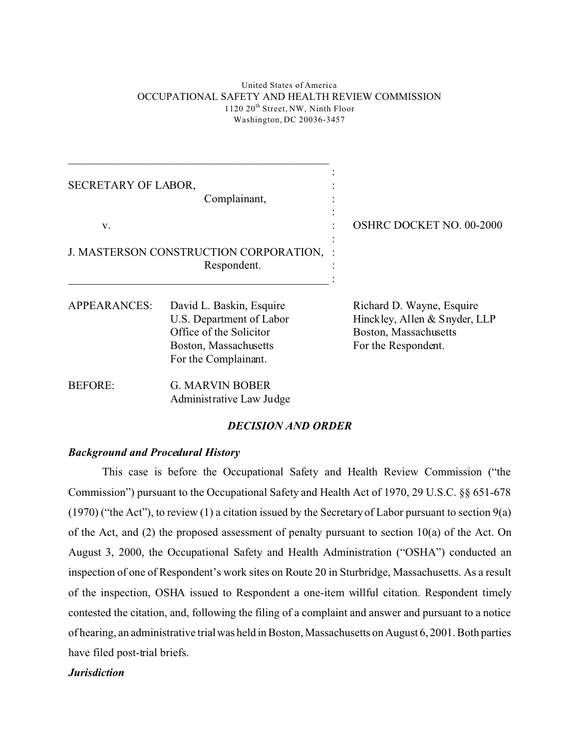#### United States of America OCCUPATIONAL SAFETY AND HEALTH REVIEW COMMISSION 1120 20<sup>th</sup> Street, NW, Ninth Floor Washington, DC 20036-3457

| SECRETARY OF LABOR, | Complainant,                                                                                                                     |                                                                                                            |
|---------------------|----------------------------------------------------------------------------------------------------------------------------------|------------------------------------------------------------------------------------------------------------|
| V.                  |                                                                                                                                  | <b>OSHRC DOCKET NO. 00-2000</b>                                                                            |
|                     | J. MASTERSON CONSTRUCTION CORPORATION,<br>Respondent.                                                                            |                                                                                                            |
| <b>APPEARANCES:</b> | David L. Baskin, Esquire<br>U.S. Department of Labor<br>Office of the Solicitor<br>Boston, Massachusetts<br>For the Complainant. | Richard D. Wayne, Esquire<br>Hinckley, Allen & Snyder, LLP<br>Boston, Massachusetts<br>For the Respondent. |
| <b>BEFORE:</b>      | <b>G. MARVIN BOBER</b><br>Administrative Law Judge                                                                               |                                                                                                            |

### *DECISION AND ORDER*

### *Background and Procedural History*

This case is before the Occupational Safety and Health Review Commission ("the Commission") pursuant to the Occupational Safety and Health Act of 1970, 29 U.S.C. §§ 651-678 (1970) ("the Act"), to review (1) a citation issued by the Secretary of Labor pursuant to section  $9(a)$ of the Act, and (2) the proposed assessment of penalty pursuant to section 10(a) of the Act. On August 3, 2000, the Occupational Safety and Health Administration ("OSHA") conducted an inspection of one of Respondent's work sites on Route 20 in Sturbridge, Massachusetts. As a result of the inspection, OSHA issued to Respondent a one-item willful citation. Respondent timely contested the citation, and, following the filing of a complaint and answer and pursuant to a notice of hearing, an administrative trial was held in Boston, Massachusetts on August 6, 2001. Both parties have filed post-trial briefs.

## *Jurisdiction*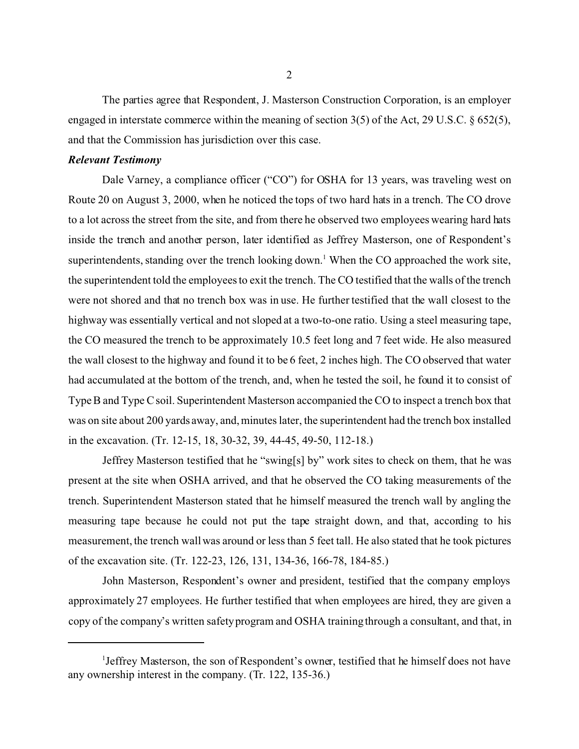The parties agree that Respondent, J. Masterson Construction Corporation, is an employer engaged in interstate commerce within the meaning of section 3(5) of the Act, 29 U.S.C. § 652(5), and that the Commission has jurisdiction over this case.

#### *Relevant Testimony*

Dale Varney, a compliance officer ("CO") for OSHA for 13 years, was traveling west on Route 20 on August 3, 2000, when he noticed the tops of two hard hats in a trench. The CO drove to a lot across the street from the site, and from there he observed two employees wearing hard hats inside the trench and another person, later identified as Jeffrey Masterson, one of Respondent's superintendents, standing over the trench looking down.<sup>1</sup> When the CO approached the work site, the superintendent told the employees to exit the trench. The CO testified that the walls of the trench were not shored and that no trench box was in use. He further testified that the wall closest to the highway was essentially vertical and not sloped at a two-to-one ratio. Using a steel measuring tape, the CO measured the trench to be approximately 10.5 feet long and 7 feet wide. He also measured the wall closest to the highway and found it to be 6 feet, 2 inches high. The CO observed that water had accumulated at the bottom of the trench, and, when he tested the soil, he found it to consist of Type B and Type C soil. Superintendent Masterson accompanied the CO to inspect a trench box that was on site about 200 yards away, and, minutes later, the superintendent had the trench box installed in the excavation. (Tr. 12-15, 18, 30-32, 39, 44-45, 49-50, 112-18.)

Jeffrey Masterson testified that he "swing[s] by" work sites to check on them, that he was present at the site when OSHA arrived, and that he observed the CO taking measurements of the trench. Superintendent Masterson stated that he himself measured the trench wall by angling the measuring tape because he could not put the tape straight down, and that, according to his measurement, the trench wall was around or less than 5 feet tall. He also stated that he took pictures of the excavation site. (Tr. 122-23, 126, 131, 134-36, 166-78, 184-85.)

John Masterson, Respondent's owner and president, testified that the company employs approximately 27 employees. He further testified that when employees are hired, they are given a copy of the company's written safety program and OSHA training through a consultant, and that, in

<sup>1</sup> Jeffrey Masterson, the son of Respondent's owner, testified that he himself does not have any ownership interest in the company. (Tr. 122, 135-36.)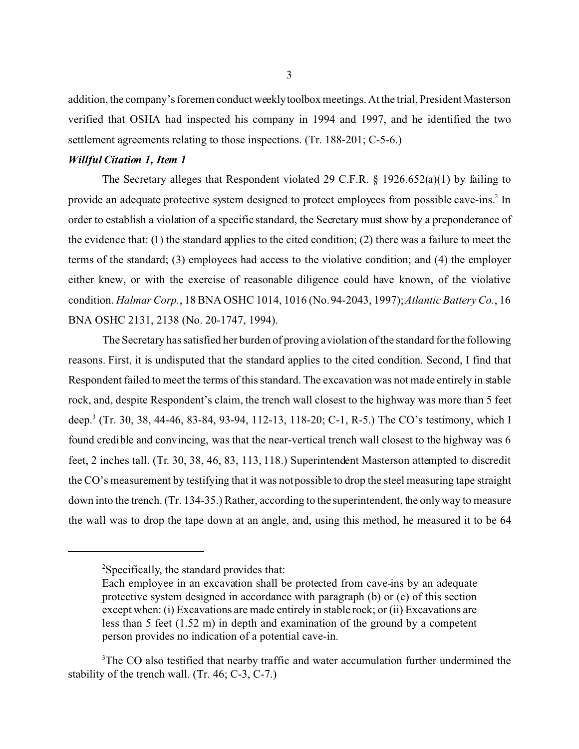addition, the company's foremen conduct weeklytoolbox meetings. At the trial, President Masterson verified that OSHA had inspected his company in 1994 and 1997, and he identified the two settlement agreements relating to those inspections. (Tr. 188-201; C-5-6.)

#### *Willful Citation 1, Item 1*

The Secretary alleges that Respondent violated 29 C.F.R. § 1926.652(a)(1) by failing to provide an adequate protective system designed to protect employees from possible cave-ins.<sup>2</sup> In order to establish a violation of a specific standard, the Secretary must show by a preponderance of the evidence that: (1) the standard applies to the cited condition; (2) there was a failure to meet the terms of the standard; (3) employees had access to the violative condition; and (4) the employer either knew, or with the exercise of reasonable diligence could have known, of the violative condition. *Halmar Corp.*, 18 BNA OSHC 1014, 1016 (No. 94-2043, 1997); *Atlantic Battery Co.*, 16 BNA OSHC 2131, 2138 (No. 20-1747, 1994).

The Secretary has satisfied her burden of proving aviolation of the standard for the following reasons. First, it is undisputed that the standard applies to the cited condition. Second, I find that Respondent failed to meet the terms of this standard. The excavation was not made entirely in stable rock, and, despite Respondent's claim, the trench wall closest to the highway was more than 5 feet deep.3 (Tr. 30, 38, 44-46, 83-84, 93-94, 112-13, 118-20; C-1, R-5.) The CO's testimony, which I found credible and convincing, was that the near-vertical trench wall closest to the highway was 6 feet, 2 inches tall. (Tr. 30, 38, 46, 83, 113, 118.) Superintendent Masterson attempted to discredit the CO's measurement by testifying that it was not possible to drop the steel measuring tape straight down into the trench. (Tr. 134-35.) Rather, according to the superintendent, the only way to measure the wall was to drop the tape down at an angle, and, using this method, he measured it to be 64

<sup>2</sup> Specifically, the standard provides that:

Each employee in an excavation shall be protected from cave-ins by an adequate protective system designed in accordance with paragraph (b) or (c) of this section except when: (i) Excavations are made entirely in stable rock; or (ii) Excavations are less than 5 feet (1.52 m) in depth and examination of the ground by a competent person provides no indication of a potential cave-in.

<sup>&</sup>lt;sup>3</sup>The CO also testified that nearby traffic and water accumulation further undermined the stability of the trench wall. (Tr. 46; C-3, C-7.)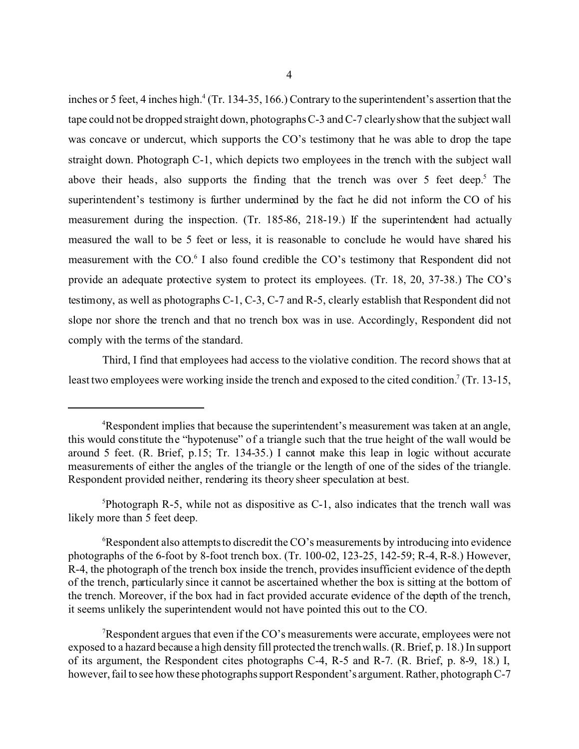inches or 5 feet, 4 inches high.<sup>4</sup> (Tr. 134-35, 166.) Contrary to the superintendent's assertion that the tape could not be dropped straight down, photographs C-3 and C-7 clearlyshow that the subject wall was concave or undercut, which supports the CO's testimony that he was able to drop the tape straight down. Photograph C-1, which depicts two employees in the trench with the subject wall above their heads, also supports the finding that the trench was over 5 feet deep.<sup>5</sup> The superintendent's testimony is further undermined by the fact he did not inform the CO of his measurement during the inspection. (Tr. 185-86, 218-19.) If the superintendent had actually measured the wall to be 5 feet or less, it is reasonable to conclude he would have shared his measurement with the CO.<sup>6</sup> I also found credible the CO's testimony that Respondent did not provide an adequate protective system to protect its employees. (Tr. 18, 20, 37-38.) The CO's testimony, as well as photographs C-1, C-3, C-7 and R-5, clearly establish that Respondent did not slope nor shore the trench and that no trench box was in use. Accordingly, Respondent did not comply with the terms of the standard.

Third, I find that employees had access to the violative condition. The record shows that at least two employees were working inside the trench and exposed to the cited condition.<sup>7</sup> (Tr. 13-15,

5 Photograph R-5, while not as dispositive as C-1, also indicates that the trench wall was likely more than 5 feet deep.

<sup>&</sup>lt;sup>4</sup>Respondent implies that because the superintendent's measurement was taken at an angle, this would constitute the "hypotenuse" of a triangle such that the true height of the wall would be around 5 feet. (R. Brief, p.15; Tr. 134-35.) I cannot make this leap in logic without accurate measurements of either the angles of the triangle or the length of one of the sides of the triangle. Respondent provided neither, rendering its theory sheer speculation at best.

<sup>6</sup> Respondent also attempts to discredit the CO's measurements by introducing into evidence photographs of the 6-foot by 8-foot trench box. (Tr. 100-02, 123-25, 142-59; R-4, R-8.) However, R-4, the photograph of the trench box inside the trench, provides insufficient evidence of the depth of the trench, particularly since it cannot be ascertained whether the box is sitting at the bottom of the trench. Moreover, if the box had in fact provided accurate evidence of the depth of the trench, it seems unlikely the superintendent would not have pointed this out to the CO.

Respondent argues that even if the CO's measurements were accurate, employees were not exposed to a hazard because a high density fill protected the trench walls. (R. Brief, p. 18.) In support of its argument, the Respondent cites photographs C-4, R-5 and R-7. (R. Brief, p. 8-9, 18.) I, however, fail to see how these photographs support Respondent's argument. Rather, photograph C-7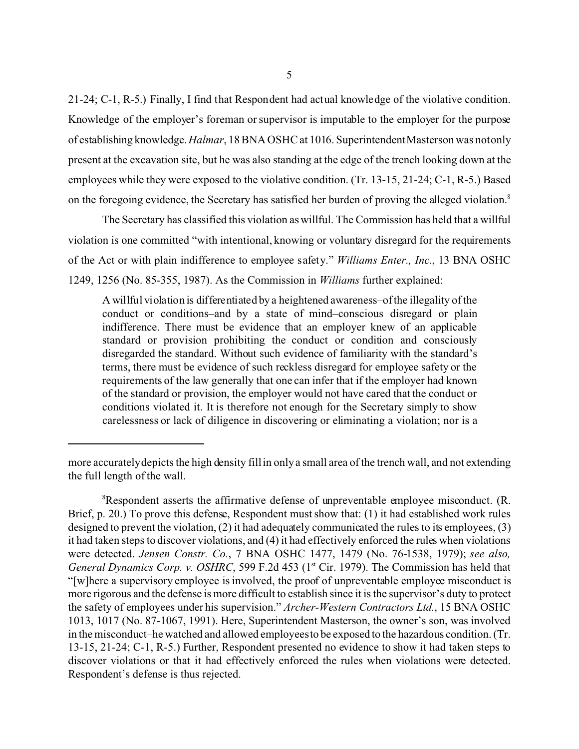21-24; C-1, R-5.) Finally, I find that Respondent had actual knowledge of the violative condition. Knowledge of the employer's foreman or supervisor is imputable to the employer for the purpose of establishing knowledge. *Halmar*, 18 BNA OSHC at 1016. SuperintendentMasterson was notonly present at the excavation site, but he was also standing at the edge of the trench looking down at the employees while they were exposed to the violative condition. (Tr. 13-15, 21-24; C-1, R-5.) Based on the foregoing evidence, the Secretary has satisfied her burden of proving the alleged violation.<sup>8</sup>

The Secretary has classified this violation as willful. The Commission has held that a willful violation is one committed "with intentional, knowing or voluntary disregard for the requirements of the Act or with plain indifference to employee safety." *Williams Enter., Inc.*, 13 BNA OSHC 1249, 1256 (No. 85-355, 1987). As the Commission in *Williams* further explained:

A willful violation is differentiated by a heightened awareness–of the illegality of the conduct or conditions–and by a state of mind–conscious disregard or plain indifference. There must be evidence that an employer knew of an applicable standard or provision prohibiting the conduct or condition and consciously disregarded the standard. Without such evidence of familiarity with the standard's terms, there must be evidence of such reckless disregard for employee safety or the requirements of the law generally that one can infer that if the employer had known of the standard or provision, the employer would not have cared that the conduct or conditions violated it. It is therefore not enough for the Secretary simply to show carelessness or lack of diligence in discovering or eliminating a violation; nor is a

more accuratelydepicts the high density fill in only a small area of the trench wall, and not extending the full length of the wall.

<sup>&</sup>lt;sup>8</sup>Respondent asserts the affirmative defense of unpreventable employee misconduct. (R. Brief, p. 20.) To prove this defense, Respondent must show that: (1) it had established work rules designed to prevent the violation, (2) it had adequately communicated the rules to its employees, (3) it had taken steps to discover violations, and (4) it had effectively enforced the rules when violations were detected. *Jensen Constr. Co.*, 7 BNA OSHC 1477, 1479 (No. 76-1538, 1979); *see also, General Dynamics Corp. v. OSHRC*, 599 F.2d 453 (1<sup>st</sup> Cir. 1979). The Commission has held that "[w]here a supervisory employee is involved, the proof of unpreventable employee misconduct is more rigorous and the defense is more difficult to establish since it is the supervisor's duty to protect the safety of employees under his supervision." *Archer-Western Contractors Ltd.*, 15 BNA OSHC 1013, 1017 (No. 87-1067, 1991). Here, Superintendent Masterson, the owner's son, was involved in the misconduct–he watched and allowed employeesto be exposed to the hazardous condition. (Tr. 13-15, 21-24; C-1, R-5.) Further, Respondent presented no evidence to show it had taken steps to discover violations or that it had effectively enforced the rules when violations were detected. Respondent's defense is thus rejected.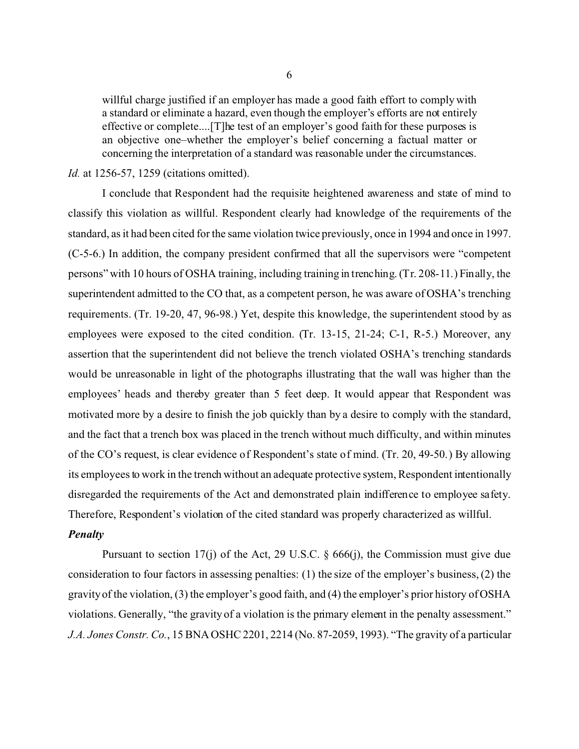willful charge justified if an employer has made a good faith effort to comply with a standard or eliminate a hazard, even though the employer's efforts are not entirely effective or complete....[T]he test of an employer's good faith for these purposes is an objective one–whether the employer's belief concerning a factual matter or concerning the interpretation of a standard was reasonable under the circumstances.

## *Id.* at 1256-57, 1259 (citations omitted).

I conclude that Respondent had the requisite heightened awareness and state of mind to classify this violation as willful. Respondent clearly had knowledge of the requirements of the standard, as it had been cited for the same violation twice previously, once in 1994 and once in 1997. (C-5-6.) In addition, the company president confirmed that all the supervisors were "competent persons" with 10 hours of OSHA training, including training in trenching. (Tr. 208-11.) Finally, the superintendent admitted to the CO that, as a competent person, he was aware of OSHA's trenching requirements. (Tr. 19-20, 47, 96-98.) Yet, despite this knowledge, the superintendent stood by as employees were exposed to the cited condition. (Tr. 13-15, 21-24; C-1, R-5.) Moreover, any assertion that the superintendent did not believe the trench violated OSHA's trenching standards would be unreasonable in light of the photographs illustrating that the wall was higher than the employees' heads and thereby greater than 5 feet deep. It would appear that Respondent was motivated more by a desire to finish the job quickly than by a desire to comply with the standard, and the fact that a trench box was placed in the trench without much difficulty, and within minutes of the CO's request, is clear evidence of Respondent's state of mind. (Tr. 20, 49-50.) By allowing its employees to work in the trench without an adequate protective system, Respondent intentionally disregarded the requirements of the Act and demonstrated plain indifference to employee safety. Therefore, Respondent's violation of the cited standard was properly characterized as willful.

#### *Penalty*

Pursuant to section 17(j) of the Act, 29 U.S.C.  $\S$  666(j), the Commission must give due consideration to four factors in assessing penalties: (1) the size of the employer's business, (2) the gravity of the violation, (3) the employer's good faith, and (4) the employer's prior history of OSHA violations. Generally, "the gravity of a violation is the primary element in the penalty assessment." *J.A. Jones Constr. Co.*, 15 BNA OSHC 2201, 2214 (No. 87-2059, 1993). "The gravity of a particular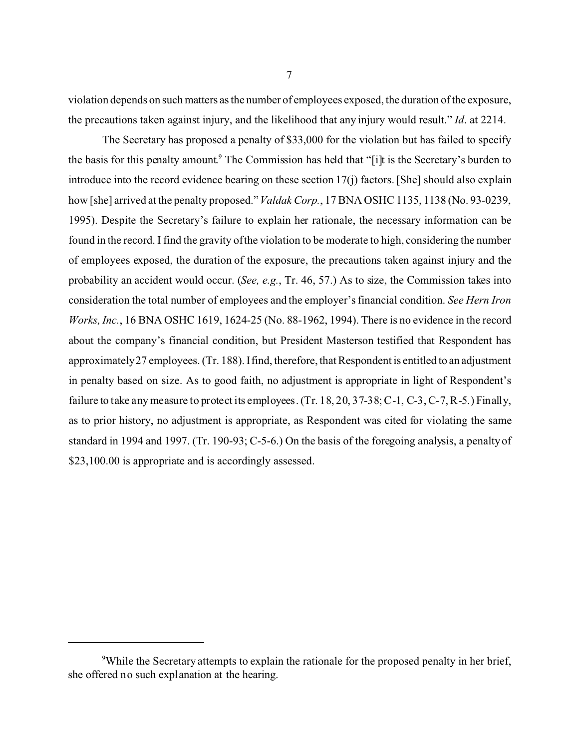violation depends on such matters as the number of employees exposed, the duration of the exposure, the precautions taken against injury, and the likelihood that any injury would result." *Id*. at 2214.

The Secretary has proposed a penalty of \$33,000 for the violation but has failed to specify the basis for this penalty amount.<sup>9</sup> The Commission has held that "[i]t is the Secretary's burden to introduce into the record evidence bearing on these section 17(j) factors. [She] should also explain how [she] arrived at the penalty proposed." *Valdak Corp.*, 17 BNA OSHC 1135, 1138 (No. 93-0239, 1995). Despite the Secretary's failure to explain her rationale, the necessary information can be found in the record. I find the gravity of the violation to be moderate to high, considering the number of employees exposed, the duration of the exposure, the precautions taken against injury and the probability an accident would occur. (*See, e.g.*, Tr. 46, 57.) As to size, the Commission takes into consideration the total number of employees and the employer's financial condition. *See Hern Iron Works, Inc.*, 16 BNA OSHC 1619, 1624-25 (No. 88-1962, 1994). There is no evidence in the record about the company's financial condition, but President Masterson testified that Respondent has approximately27 employees. (Tr. 188). Ifind, therefore, that Respondent is entitled to an adjustment in penalty based on size. As to good faith, no adjustment is appropriate in light of Respondent's failure to take any measure to protect its employees. (Tr. 18, 20, 37-38; C-1, C-3, C-7, R-5.) Finally, as to prior history, no adjustment is appropriate, as Respondent was cited for violating the same standard in 1994 and 1997. (Tr. 190-93; C-5-6.) On the basis of the foregoing analysis, a penalty of \$23,100.00 is appropriate and is accordingly assessed.

<sup>&</sup>lt;sup>9</sup>While the Secretary attempts to explain the rationale for the proposed penalty in her brief, she offered no such explanation at the hearing.